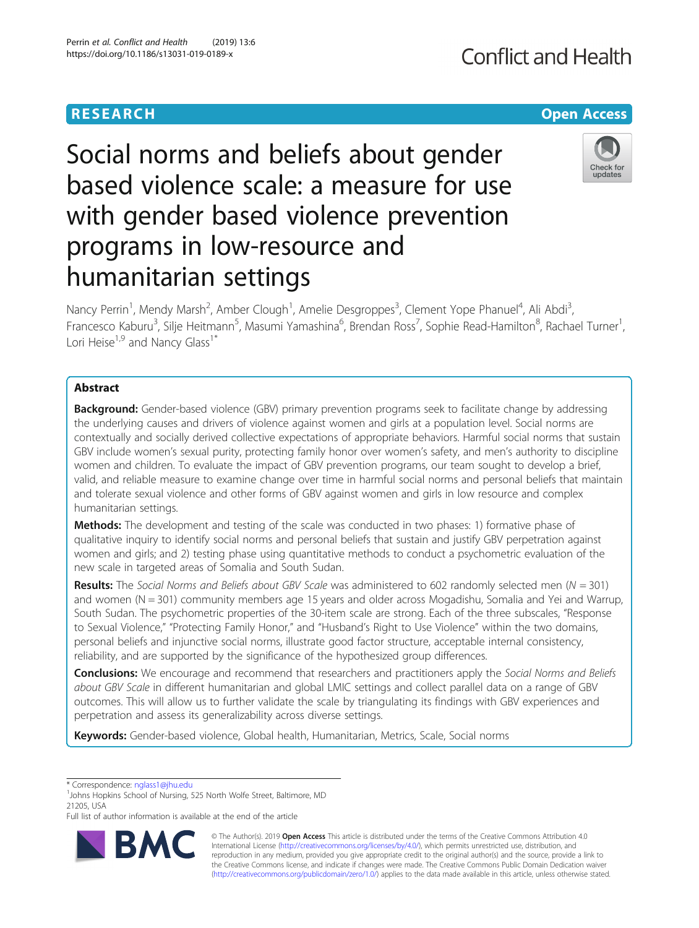# **RESEARCH CHE Open Access**

## Perrin et al. Conflict and Health (2019) 13:6 https://doi.org/10.1186/s13031-019-0189-x

Nancy Perrin<sup>1</sup>, Mendy Marsh<sup>2</sup>, Amber Clough<sup>1</sup>, Amelie Desgroppes<sup>3</sup>, Clement Yope Phanuel<sup>4</sup>, Ali Abdi<sup>3</sup> , Francesco Kaburu<sup>3</sup>, Silje Heitmann<sup>5</sup>, Masumi Yamashina<sup>6</sup>, Brendan Ross<sup>7</sup>, Sophie Read-Hamilton<sup>8</sup>, Rachael Turner<sup>1</sup> , Lori Heise<sup>1,9</sup> and Nancy Glass<sup>1\*</sup>

Social norms and beliefs about gender

based violence scale: a measure for use

with gender based violence prevention

programs in low-resource and

humanitarian settings

## Abstract

Background: Gender-based violence (GBV) primary prevention programs seek to facilitate change by addressing the underlying causes and drivers of violence against women and girls at a population level. Social norms are contextually and socially derived collective expectations of appropriate behaviors. Harmful social norms that sustain GBV include women's sexual purity, protecting family honor over women's safety, and men's authority to discipline women and children. To evaluate the impact of GBV prevention programs, our team sought to develop a brief, valid, and reliable measure to examine change over time in harmful social norms and personal beliefs that maintain and tolerate sexual violence and other forms of GBV against women and girls in low resource and complex humanitarian settings.

**Methods:** The development and testing of the scale was conducted in two phases: 1) formative phase of qualitative inquiry to identify social norms and personal beliefs that sustain and justify GBV perpetration against women and girls; and 2) testing phase using quantitative methods to conduct a psychometric evaluation of the new scale in targeted areas of Somalia and South Sudan.

**Results:** The Social Norms and Beliefs about GBV Scale was administered to 602 randomly selected men ( $N = 301$ ) and women (N = 301) community members age 15 years and older across Mogadishu, Somalia and Yei and Warrup, South Sudan. The psychometric properties of the 30-item scale are strong. Each of the three subscales, "Response to Sexual Violence," "Protecting Family Honor," and "Husband's Right to Use Violence" within the two domains, personal beliefs and injunctive social norms, illustrate good factor structure, acceptable internal consistency, reliability, and are supported by the significance of the hypothesized group differences.

**Conclusions:** We encourage and recommend that researchers and practitioners apply the Social Norms and Beliefs about GBV Scale in different humanitarian and global LMIC settings and collect parallel data on a range of GBV outcomes. This will allow us to further validate the scale by triangulating its findings with GBV experiences and perpetration and assess its generalizability across diverse settings.

Keywords: Gender-based violence, Global health, Humanitarian, Metrics, Scale, Social norms

\* Correspondence: [nglass1@jhu.edu](mailto:nglass1@jhu.edu) <sup>1</sup>

<sup>1</sup>Johns Hopkins School of Nursing, 525 North Wolfe Street, Baltimore, MD 21205, USA

Full list of author information is available at the end of the article



# **Conflict and Health**

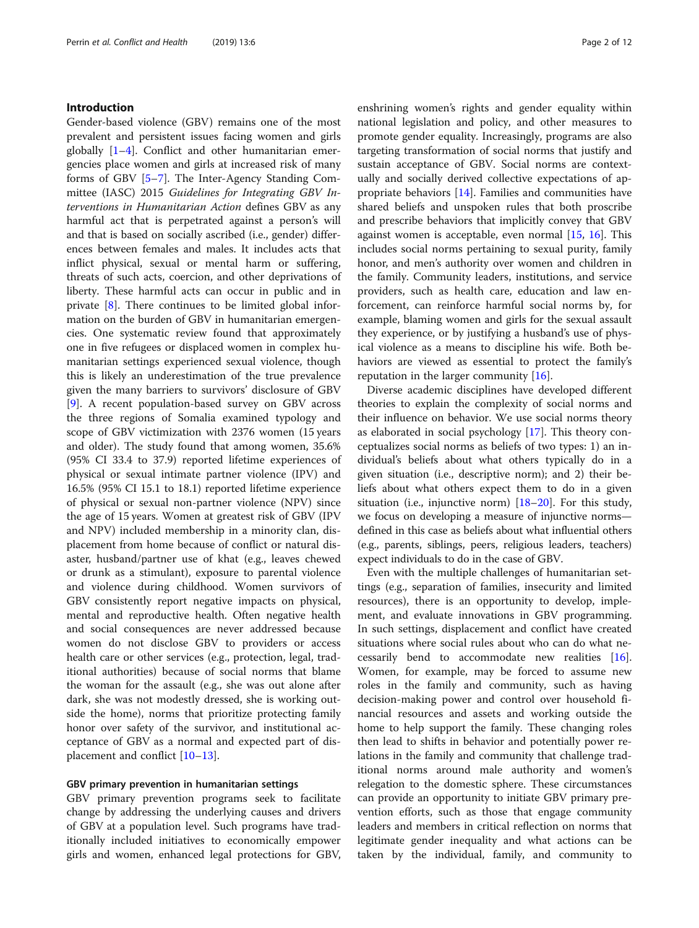## Introduction

Gender-based violence (GBV) remains one of the most prevalent and persistent issues facing women and girls globally  $[1-4]$  $[1-4]$  $[1-4]$ . Conflict and other humanitarian emergencies place women and girls at increased risk of many forms of GBV [[5](#page-10-0)–[7](#page-10-0)]. The Inter-Agency Standing Committee (IASC) 2015 Guidelines for Integrating GBV Interventions in Humanitarian Action defines GBV as any harmful act that is perpetrated against a person's will and that is based on socially ascribed (i.e., gender) differences between females and males. It includes acts that inflict physical, sexual or mental harm or suffering, threats of such acts, coercion, and other deprivations of liberty. These harmful acts can occur in public and in private [\[8](#page-10-0)]. There continues to be limited global information on the burden of GBV in humanitarian emergencies. One systematic review found that approximately one in five refugees or displaced women in complex humanitarian settings experienced sexual violence, though this is likely an underestimation of the true prevalence given the many barriers to survivors' disclosure of GBV [[9\]](#page-10-0). A recent population-based survey on GBV across the three regions of Somalia examined typology and scope of GBV victimization with 2376 women (15 years and older). The study found that among women, 35.6% (95% CI 33.4 to 37.9) reported lifetime experiences of physical or sexual intimate partner violence (IPV) and 16.5% (95% CI 15.1 to 18.1) reported lifetime experience of physical or sexual non-partner violence (NPV) since the age of 15 years. Women at greatest risk of GBV (IPV and NPV) included membership in a minority clan, displacement from home because of conflict or natural disaster, husband/partner use of khat (e.g., leaves chewed or drunk as a stimulant), exposure to parental violence and violence during childhood. Women survivors of GBV consistently report negative impacts on physical, mental and reproductive health. Often negative health and social consequences are never addressed because women do not disclose GBV to providers or access health care or other services (e.g., protection, legal, traditional authorities) because of social norms that blame the woman for the assault (e.g., she was out alone after dark, she was not modestly dressed, she is working outside the home), norms that prioritize protecting family honor over safety of the survivor, and institutional acceptance of GBV as a normal and expected part of displacement and conflict [\[10](#page-10-0)–[13\]](#page-10-0).

## GBV primary prevention in humanitarian settings

GBV primary prevention programs seek to facilitate change by addressing the underlying causes and drivers of GBV at a population level. Such programs have traditionally included initiatives to economically empower girls and women, enhanced legal protections for GBV,

enshrining women's rights and gender equality within national legislation and policy, and other measures to promote gender equality. Increasingly, programs are also targeting transformation of social norms that justify and sustain acceptance of GBV. Social norms are contextually and socially derived collective expectations of appropriate behaviors  $[14]$  $[14]$  $[14]$ . Families and communities have shared beliefs and unspoken rules that both proscribe and prescribe behaviors that implicitly convey that GBV against women is acceptable, even normal [\[15](#page-10-0), [16\]](#page-10-0). This includes social norms pertaining to sexual purity, family honor, and men's authority over women and children in the family. Community leaders, institutions, and service providers, such as health care, education and law enforcement, can reinforce harmful social norms by, for example, blaming women and girls for the sexual assault they experience, or by justifying a husband's use of physical violence as a means to discipline his wife. Both behaviors are viewed as essential to protect the family's reputation in the larger community [\[16\]](#page-10-0).

Diverse academic disciplines have developed different theories to explain the complexity of social norms and their influence on behavior. We use social norms theory as elaborated in social psychology [[17\]](#page-10-0). This theory conceptualizes social norms as beliefs of two types: 1) an individual's beliefs about what others typically do in a given situation (i.e., descriptive norm); and 2) their beliefs about what others expect them to do in a given situation (i.e., injunctive norm)  $[18–20]$  $[18–20]$  $[18–20]$ . For this study, we focus on developing a measure of injunctive norms defined in this case as beliefs about what influential others (e.g., parents, siblings, peers, religious leaders, teachers) expect individuals to do in the case of GBV.

Even with the multiple challenges of humanitarian settings (e.g., separation of families, insecurity and limited resources), there is an opportunity to develop, implement, and evaluate innovations in GBV programming. In such settings, displacement and conflict have created situations where social rules about who can do what necessarily bend to accommodate new realities [\[16](#page-10-0)]. Women, for example, may be forced to assume new roles in the family and community, such as having decision-making power and control over household financial resources and assets and working outside the home to help support the family. These changing roles then lead to shifts in behavior and potentially power relations in the family and community that challenge traditional norms around male authority and women's relegation to the domestic sphere. These circumstances can provide an opportunity to initiate GBV primary prevention efforts, such as those that engage community leaders and members in critical reflection on norms that legitimate gender inequality and what actions can be taken by the individual, family, and community to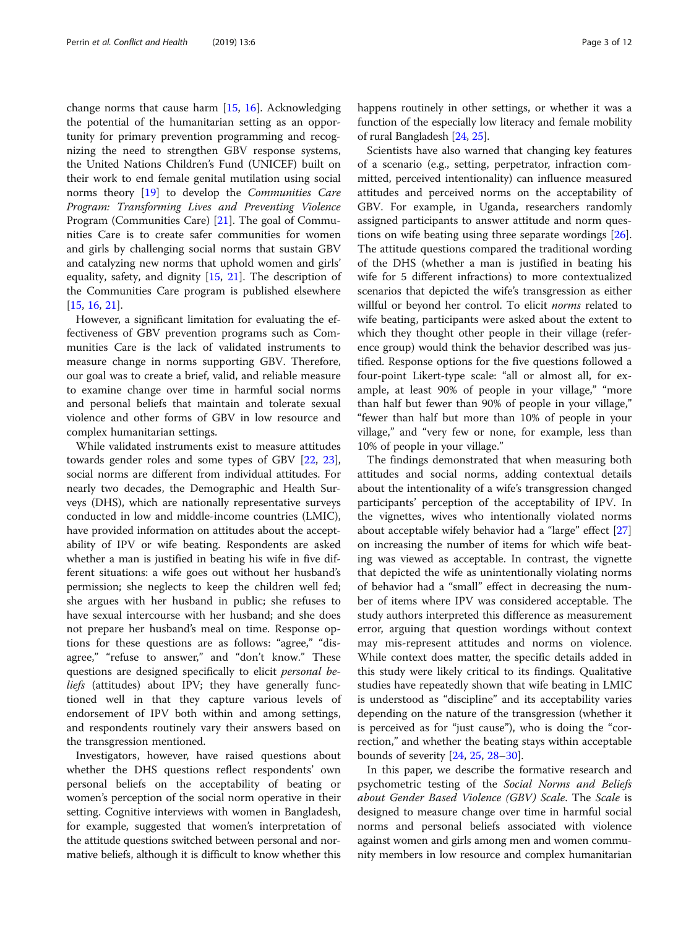change norms that cause harm [[15,](#page-10-0) [16](#page-10-0)]. Acknowledging the potential of the humanitarian setting as an opportunity for primary prevention programming and recognizing the need to strengthen GBV response systems, the United Nations Children's Fund (UNICEF) built on their work to end female genital mutilation using social norms theory [\[19](#page-10-0)] to develop the Communities Care Program: Transforming Lives and Preventing Violence Program (Communities Care) [\[21\]](#page-10-0). The goal of Communities Care is to create safer communities for women and girls by challenging social norms that sustain GBV and catalyzing new norms that uphold women and girls' equality, safety, and dignity [[15,](#page-10-0) [21\]](#page-10-0). The description of the Communities Care program is published elsewhere [[15,](#page-10-0) [16,](#page-10-0) [21](#page-10-0)].

However, a significant limitation for evaluating the effectiveness of GBV prevention programs such as Communities Care is the lack of validated instruments to measure change in norms supporting GBV. Therefore, our goal was to create a brief, valid, and reliable measure to examine change over time in harmful social norms and personal beliefs that maintain and tolerate sexual violence and other forms of GBV in low resource and complex humanitarian settings.

While validated instruments exist to measure attitudes towards gender roles and some types of GBV [\[22,](#page-11-0) [23](#page-11-0)], social norms are different from individual attitudes. For nearly two decades, the Demographic and Health Surveys (DHS), which are nationally representative surveys conducted in low and middle-income countries (LMIC), have provided information on attitudes about the acceptability of IPV or wife beating. Respondents are asked whether a man is justified in beating his wife in five different situations: a wife goes out without her husband's permission; she neglects to keep the children well fed; she argues with her husband in public; she refuses to have sexual intercourse with her husband; and she does not prepare her husband's meal on time. Response options for these questions are as follows: "agree," "disagree," "refuse to answer," and "don't know." These questions are designed specifically to elicit personal beliefs (attitudes) about IPV; they have generally functioned well in that they capture various levels of endorsement of IPV both within and among settings, and respondents routinely vary their answers based on the transgression mentioned.

Investigators, however, have raised questions about whether the DHS questions reflect respondents' own personal beliefs on the acceptability of beating or women's perception of the social norm operative in their setting. Cognitive interviews with women in Bangladesh, for example, suggested that women's interpretation of the attitude questions switched between personal and normative beliefs, although it is difficult to know whether this happens routinely in other settings, or whether it was a function of the especially low literacy and female mobility of rural Bangladesh [[24,](#page-11-0) [25\]](#page-11-0).

Scientists have also warned that changing key features of a scenario (e.g., setting, perpetrator, infraction committed, perceived intentionality) can influence measured attitudes and perceived norms on the acceptability of GBV. For example, in Uganda, researchers randomly assigned participants to answer attitude and norm questions on wife beating using three separate wordings [\[26](#page-11-0)]. The attitude questions compared the traditional wording of the DHS (whether a man is justified in beating his wife for 5 different infractions) to more contextualized scenarios that depicted the wife's transgression as either willful or beyond her control. To elicit norms related to wife beating, participants were asked about the extent to which they thought other people in their village (reference group) would think the behavior described was justified. Response options for the five questions followed a four-point Likert-type scale: "all or almost all, for example, at least 90% of people in your village," "more than half but fewer than 90% of people in your village," "fewer than half but more than 10% of people in your village," and "very few or none, for example, less than 10% of people in your village."

The findings demonstrated that when measuring both attitudes and social norms, adding contextual details about the intentionality of a wife's transgression changed participants' perception of the acceptability of IPV. In the vignettes, wives who intentionally violated norms about acceptable wifely behavior had a "large" effect [[27](#page-11-0)] on increasing the number of items for which wife beating was viewed as acceptable. In contrast, the vignette that depicted the wife as unintentionally violating norms of behavior had a "small" effect in decreasing the number of items where IPV was considered acceptable. The study authors interpreted this difference as measurement error, arguing that question wordings without context may mis-represent attitudes and norms on violence. While context does matter, the specific details added in this study were likely critical to its findings. Qualitative studies have repeatedly shown that wife beating in LMIC is understood as "discipline" and its acceptability varies depending on the nature of the transgression (whether it is perceived as for "just cause"), who is doing the "correction," and whether the beating stays within acceptable bounds of severity [[24](#page-11-0), [25](#page-11-0), [28](#page-11-0)–[30](#page-11-0)].

In this paper, we describe the formative research and psychometric testing of the Social Norms and Beliefs about Gender Based Violence (GBV) Scale. The Scale is designed to measure change over time in harmful social norms and personal beliefs associated with violence against women and girls among men and women community members in low resource and complex humanitarian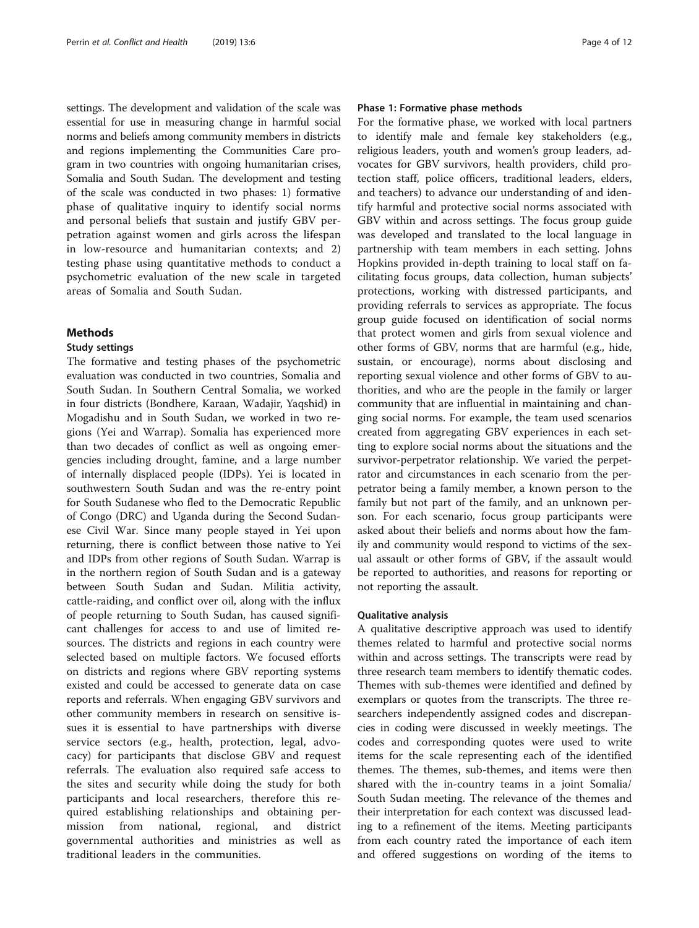settings. The development and validation of the scale was essential for use in measuring change in harmful social norms and beliefs among community members in districts and regions implementing the Communities Care program in two countries with ongoing humanitarian crises, Somalia and South Sudan. The development and testing of the scale was conducted in two phases: 1) formative phase of qualitative inquiry to identify social norms and personal beliefs that sustain and justify GBV perpetration against women and girls across the lifespan in low-resource and humanitarian contexts; and 2) testing phase using quantitative methods to conduct a psychometric evaluation of the new scale in targeted areas of Somalia and South Sudan.

## Methods

## Study settings

The formative and testing phases of the psychometric evaluation was conducted in two countries, Somalia and South Sudan. In Southern Central Somalia, we worked in four districts (Bondhere, Karaan, Wadajir, Yaqshid) in Mogadishu and in South Sudan, we worked in two regions (Yei and Warrap). Somalia has experienced more than two decades of conflict as well as ongoing emergencies including drought, famine, and a large number of internally displaced people (IDPs). Yei is located in southwestern South Sudan and was the re-entry point for South Sudanese who fled to the Democratic Republic of Congo (DRC) and Uganda during the Second Sudanese Civil War. Since many people stayed in Yei upon returning, there is conflict between those native to Yei and IDPs from other regions of South Sudan. Warrap is in the northern region of South Sudan and is a gateway between South Sudan and Sudan. Militia activity, cattle-raiding, and conflict over oil, along with the influx of people returning to South Sudan, has caused significant challenges for access to and use of limited resources. The districts and regions in each country were selected based on multiple factors. We focused efforts on districts and regions where GBV reporting systems existed and could be accessed to generate data on case reports and referrals. When engaging GBV survivors and other community members in research on sensitive issues it is essential to have partnerships with diverse service sectors (e.g., health, protection, legal, advocacy) for participants that disclose GBV and request referrals. The evaluation also required safe access to the sites and security while doing the study for both participants and local researchers, therefore this required establishing relationships and obtaining permission from national, regional, and district governmental authorities and ministries as well as traditional leaders in the communities.

## Phase 1: Formative phase methods

For the formative phase, we worked with local partners to identify male and female key stakeholders (e.g., religious leaders, youth and women's group leaders, advocates for GBV survivors, health providers, child protection staff, police officers, traditional leaders, elders, and teachers) to advance our understanding of and identify harmful and protective social norms associated with GBV within and across settings. The focus group guide was developed and translated to the local language in partnership with team members in each setting. Johns Hopkins provided in-depth training to local staff on facilitating focus groups, data collection, human subjects' protections, working with distressed participants, and providing referrals to services as appropriate. The focus group guide focused on identification of social norms that protect women and girls from sexual violence and other forms of GBV, norms that are harmful (e.g., hide, sustain, or encourage), norms about disclosing and reporting sexual violence and other forms of GBV to authorities, and who are the people in the family or larger community that are influential in maintaining and changing social norms. For example, the team used scenarios created from aggregating GBV experiences in each setting to explore social norms about the situations and the survivor-perpetrator relationship. We varied the perpetrator and circumstances in each scenario from the perpetrator being a family member, a known person to the family but not part of the family, and an unknown person. For each scenario, focus group participants were asked about their beliefs and norms about how the family and community would respond to victims of the sexual assault or other forms of GBV, if the assault would be reported to authorities, and reasons for reporting or not reporting the assault.

## Qualitative analysis

A qualitative descriptive approach was used to identify themes related to harmful and protective social norms within and across settings. The transcripts were read by three research team members to identify thematic codes. Themes with sub-themes were identified and defined by exemplars or quotes from the transcripts. The three researchers independently assigned codes and discrepancies in coding were discussed in weekly meetings. The codes and corresponding quotes were used to write items for the scale representing each of the identified themes. The themes, sub-themes, and items were then shared with the in-country teams in a joint Somalia/ South Sudan meeting. The relevance of the themes and their interpretation for each context was discussed leading to a refinement of the items. Meeting participants from each country rated the importance of each item and offered suggestions on wording of the items to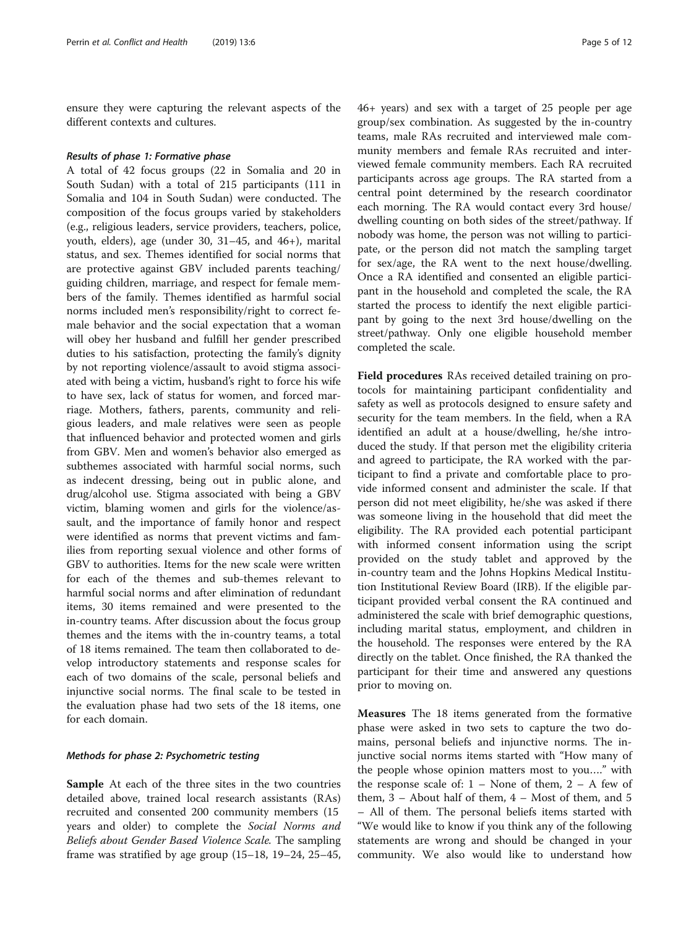ensure they were capturing the relevant aspects of the different contexts and cultures.

## Results of phase 1: Formative phase

A total of 42 focus groups (22 in Somalia and 20 in South Sudan) with a total of 215 participants (111 in Somalia and 104 in South Sudan) were conducted. The composition of the focus groups varied by stakeholders (e.g., religious leaders, service providers, teachers, police, youth, elders), age (under 30, 31–45, and 46+), marital status, and sex. Themes identified for social norms that are protective against GBV included parents teaching/ guiding children, marriage, and respect for female members of the family. Themes identified as harmful social norms included men's responsibility/right to correct female behavior and the social expectation that a woman will obey her husband and fulfill her gender prescribed duties to his satisfaction, protecting the family's dignity by not reporting violence/assault to avoid stigma associated with being a victim, husband's right to force his wife to have sex, lack of status for women, and forced marriage. Mothers, fathers, parents, community and religious leaders, and male relatives were seen as people that influenced behavior and protected women and girls from GBV. Men and women's behavior also emerged as subthemes associated with harmful social norms, such as indecent dressing, being out in public alone, and drug/alcohol use. Stigma associated with being a GBV victim, blaming women and girls for the violence/assault, and the importance of family honor and respect were identified as norms that prevent victims and families from reporting sexual violence and other forms of GBV to authorities. Items for the new scale were written for each of the themes and sub-themes relevant to harmful social norms and after elimination of redundant items, 30 items remained and were presented to the in-country teams. After discussion about the focus group themes and the items with the in-country teams, a total of 18 items remained. The team then collaborated to develop introductory statements and response scales for each of two domains of the scale, personal beliefs and injunctive social norms. The final scale to be tested in the evaluation phase had two sets of the 18 items, one for each domain.

## Methods for phase 2: Psychometric testing

Sample At each of the three sites in the two countries detailed above, trained local research assistants (RAs) recruited and consented 200 community members (15 years and older) to complete the Social Norms and Beliefs about Gender Based Violence Scale. The sampling frame was stratified by age group (15–18, 19–24, 25–45,

46+ years) and sex with a target of 25 people per age group/sex combination. As suggested by the in-country teams, male RAs recruited and interviewed male community members and female RAs recruited and interviewed female community members. Each RA recruited participants across age groups. The RA started from a central point determined by the research coordinator each morning. The RA would contact every 3rd house/ dwelling counting on both sides of the street/pathway. If nobody was home, the person was not willing to participate, or the person did not match the sampling target for sex/age, the RA went to the next house/dwelling. Once a RA identified and consented an eligible participant in the household and completed the scale, the RA started the process to identify the next eligible participant by going to the next 3rd house/dwelling on the street/pathway. Only one eligible household member completed the scale.

Field procedures RAs received detailed training on protocols for maintaining participant confidentiality and safety as well as protocols designed to ensure safety and security for the team members. In the field, when a RA identified an adult at a house/dwelling, he/she introduced the study. If that person met the eligibility criteria and agreed to participate, the RA worked with the participant to find a private and comfortable place to provide informed consent and administer the scale. If that person did not meet eligibility, he/she was asked if there was someone living in the household that did meet the eligibility. The RA provided each potential participant with informed consent information using the script provided on the study tablet and approved by the in-country team and the Johns Hopkins Medical Institution Institutional Review Board (IRB). If the eligible participant provided verbal consent the RA continued and administered the scale with brief demographic questions, including marital status, employment, and children in the household. The responses were entered by the RA directly on the tablet. Once finished, the RA thanked the participant for their time and answered any questions prior to moving on.

Measures The 18 items generated from the formative phase were asked in two sets to capture the two domains, personal beliefs and injunctive norms. The injunctive social norms items started with "How many of the people whose opinion matters most to you…." with the response scale of:  $1 -$  None of them,  $2 - A$  few of them, 3 – About half of them, 4 – Most of them, and 5 – All of them. The personal beliefs items started with "We would like to know if you think any of the following statements are wrong and should be changed in your community. We also would like to understand how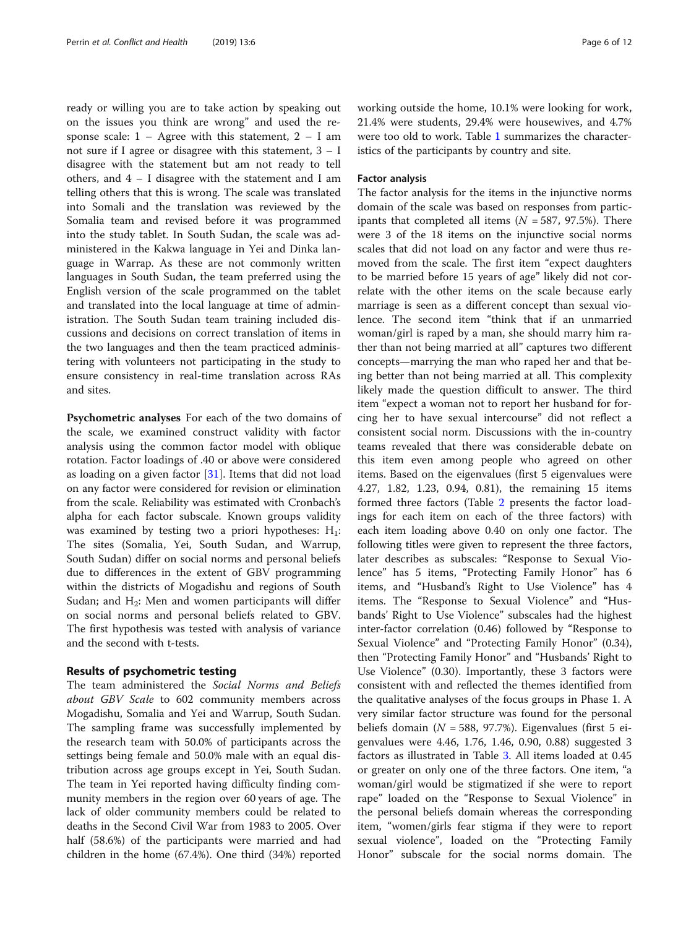ready or willing you are to take action by speaking out on the issues you think are wrong" and used the response scale:  $1 - \text{Agree}$  with this statement,  $2 - \text{I}$  am not sure if I agree or disagree with this statement,  $3 - I$ disagree with the statement but am not ready to tell others, and  $4 - I$  disagree with the statement and I am telling others that this is wrong. The scale was translated into Somali and the translation was reviewed by the Somalia team and revised before it was programmed into the study tablet. In South Sudan, the scale was administered in the Kakwa language in Yei and Dinka language in Warrap. As these are not commonly written languages in South Sudan, the team preferred using the English version of the scale programmed on the tablet and translated into the local language at time of administration. The South Sudan team training included discussions and decisions on correct translation of items in the two languages and then the team practiced administering with volunteers not participating in the study to ensure consistency in real-time translation across RAs and sites.

Psychometric analyses For each of the two domains of the scale, we examined construct validity with factor analysis using the common factor model with oblique rotation. Factor loadings of .40 or above were considered as loading on a given factor [[31\]](#page-11-0). Items that did not load on any factor were considered for revision or elimination from the scale. Reliability was estimated with Cronbach's alpha for each factor subscale. Known groups validity was examined by testing two a priori hypotheses:  $H_1$ : The sites (Somalia, Yei, South Sudan, and Warrup, South Sudan) differ on social norms and personal beliefs due to differences in the extent of GBV programming within the districts of Mogadishu and regions of South Sudan; and  $H_2$ : Men and women participants will differ on social norms and personal beliefs related to GBV. The first hypothesis was tested with analysis of variance and the second with t-tests.

## Results of psychometric testing

The team administered the Social Norms and Beliefs about GBV Scale to 602 community members across Mogadishu, Somalia and Yei and Warrup, South Sudan. The sampling frame was successfully implemented by the research team with 50.0% of participants across the settings being female and 50.0% male with an equal distribution across age groups except in Yei, South Sudan. The team in Yei reported having difficulty finding community members in the region over 60 years of age. The lack of older community members could be related to deaths in the Second Civil War from 1983 to 2005. Over half (58.6%) of the participants were married and had children in the home (67.4%). One third (34%) reported working outside the home, 10.1% were looking for work, 21.4% were students, 29.4% were housewives, and 4.7% were too old to work. Table [1](#page-6-0) summarizes the characteristics of the participants by country and site.

## Factor analysis

The factor analysis for the items in the injunctive norms domain of the scale was based on responses from participants that completed all items ( $N = 587, 97.5\%$ ). There were 3 of the 18 items on the injunctive social norms scales that did not load on any factor and were thus removed from the scale. The first item "expect daughters to be married before 15 years of age" likely did not correlate with the other items on the scale because early marriage is seen as a different concept than sexual violence. The second item "think that if an unmarried woman/girl is raped by a man, she should marry him rather than not being married at all" captures two different concepts—marrying the man who raped her and that being better than not being married at all. This complexity likely made the question difficult to answer. The third item "expect a woman not to report her husband for forcing her to have sexual intercourse" did not reflect a consistent social norm. Discussions with the in-country teams revealed that there was considerable debate on this item even among people who agreed on other items. Based on the eigenvalues (first 5 eigenvalues were 4.27, 1.82, 1.23, 0.94, 0.81), the remaining 15 items formed three factors (Table [2](#page-7-0) presents the factor loadings for each item on each of the three factors) with each item loading above 0.40 on only one factor. The following titles were given to represent the three factors, later describes as subscales: "Response to Sexual Violence" has 5 items, "Protecting Family Honor" has 6 items, and "Husband's Right to Use Violence" has 4 items. The "Response to Sexual Violence" and "Husbands' Right to Use Violence" subscales had the highest inter-factor correlation (0.46) followed by "Response to Sexual Violence" and "Protecting Family Honor" (0.34), then "Protecting Family Honor" and "Husbands' Right to Use Violence" (0.30). Importantly, these 3 factors were consistent with and reflected the themes identified from the qualitative analyses of the focus groups in Phase 1. A very similar factor structure was found for the personal beliefs domain ( $N = 588$ , 97.7%). Eigenvalues (first 5 eigenvalues were 4.46, 1.76, 1.46, 0.90, 0.88) suggested 3 factors as illustrated in Table [3.](#page-7-0) All items loaded at 0.45 or greater on only one of the three factors. One item, "a woman/girl would be stigmatized if she were to report rape" loaded on the "Response to Sexual Violence" in the personal beliefs domain whereas the corresponding item, "women/girls fear stigma if they were to report sexual violence", loaded on the "Protecting Family Honor" subscale for the social norms domain. The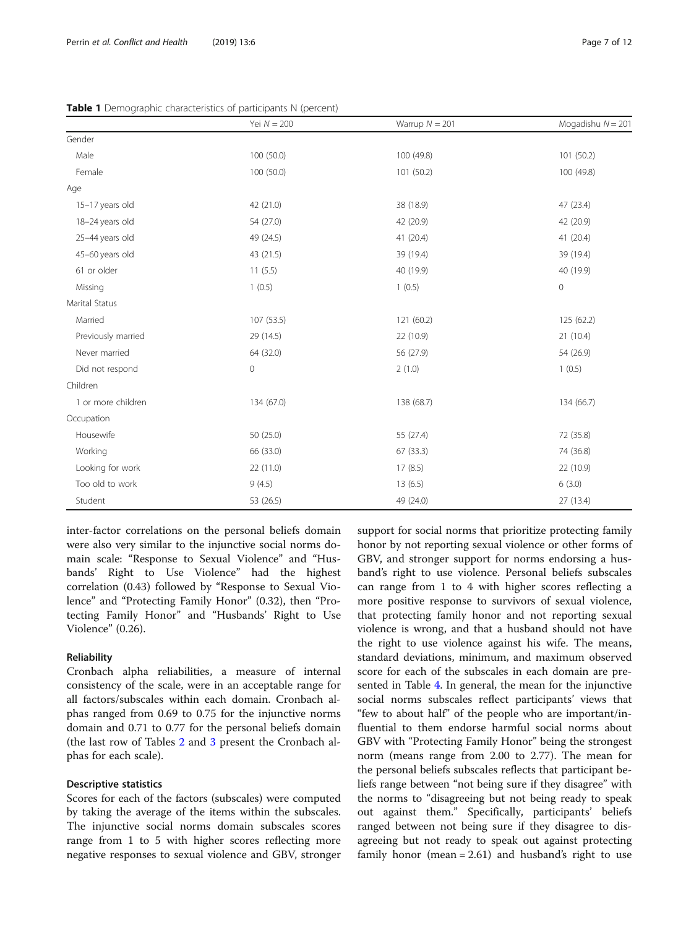|                    | Yei $N = 200$ | Warrup $N = 201$ | Mogadishu $N = 201$ |
|--------------------|---------------|------------------|---------------------|
| Gender             |               |                  |                     |
| Male               | 100 (50.0)    | 100 (49.8)       | 101 (50.2)          |
| Female             | 100 (50.0)    | 101 (50.2)       | 100 (49.8)          |
| Age                |               |                  |                     |
| 15-17 years old    | 42 (21.0)     | 38 (18.9)        | 47 (23.4)           |
| 18-24 years old    | 54 (27.0)     | 42 (20.9)        | 42 (20.9)           |
| 25-44 years old    | 49 (24.5)     | 41 (20.4)        | 41 (20.4)           |
| 45-60 years old    | 43 (21.5)     | 39 (19.4)        | 39 (19.4)           |
| 61 or older        | 11(5.5)       | 40 (19.9)        | 40 (19.9)           |
| Missing            | 1(0.5)        | 1(0.5)           | $\circ$             |
| Marital Status     |               |                  |                     |
| Married            | 107 (53.5)    | 121 (60.2)       | 125 (62.2)          |
| Previously married | 29 (14.5)     | 22 (10.9)        | 21(10.4)            |
| Never married      | 64 (32.0)     | 56 (27.9)        | 54 (26.9)           |
| Did not respond    | $\mathbf 0$   | 2(1.0)           | 1(0.5)              |
| Children           |               |                  |                     |
| 1 or more children | 134 (67.0)    | 138 (68.7)       | 134 (66.7)          |
| Occupation         |               |                  |                     |
| Housewife          | 50(25.0)      | 55 (27.4)        | 72 (35.8)           |
| Working            | 66 (33.0)     | 67 (33.3)        | 74 (36.8)           |
| Looking for work   | 22(11.0)      | 17(8.5)          | 22 (10.9)           |
| Too old to work    | 9(4.5)        | 13(6.5)          | 6(3.0)              |
| Student            | 53 (26.5)     | 49 (24.0)        | 27 (13.4)           |

<span id="page-6-0"></span>Table 1 Demographic characteristics of participants N (percent)

inter-factor correlations on the personal beliefs domain were also very similar to the injunctive social norms domain scale: "Response to Sexual Violence" and "Husbands' Right to Use Violence" had the highest correlation (0.43) followed by "Response to Sexual Violence" and "Protecting Family Honor" (0.32), then "Protecting Family Honor" and "Husbands' Right to Use Violence" (0.26).

## Reliability

Cronbach alpha reliabilities, a measure of internal consistency of the scale, were in an acceptable range for all factors/subscales within each domain. Cronbach alphas ranged from 0.69 to 0.75 for the injunctive norms domain and 0.71 to 0.77 for the personal beliefs domain (the last row of Tables [2](#page-7-0) and [3](#page-7-0) present the Cronbach alphas for each scale).

## Descriptive statistics

Scores for each of the factors (subscales) were computed by taking the average of the items within the subscales. The injunctive social norms domain subscales scores range from 1 to 5 with higher scores reflecting more negative responses to sexual violence and GBV, stronger

support for social norms that prioritize protecting family honor by not reporting sexual violence or other forms of GBV, and stronger support for norms endorsing a husband's right to use violence. Personal beliefs subscales can range from 1 to 4 with higher scores reflecting a more positive response to survivors of sexual violence, that protecting family honor and not reporting sexual violence is wrong, and that a husband should not have the right to use violence against his wife. The means, standard deviations, minimum, and maximum observed score for each of the subscales in each domain are presented in Table [4](#page-8-0). In general, the mean for the injunctive social norms subscales reflect participants' views that "few to about half" of the people who are important/influential to them endorse harmful social norms about GBV with "Protecting Family Honor" being the strongest norm (means range from 2.00 to 2.77). The mean for the personal beliefs subscales reflects that participant beliefs range between "not being sure if they disagree" with the norms to "disagreeing but not being ready to speak out against them." Specifically, participants' beliefs ranged between not being sure if they disagree to disagreeing but not ready to speak out against protecting family honor (mean = 2.61) and husband's right to use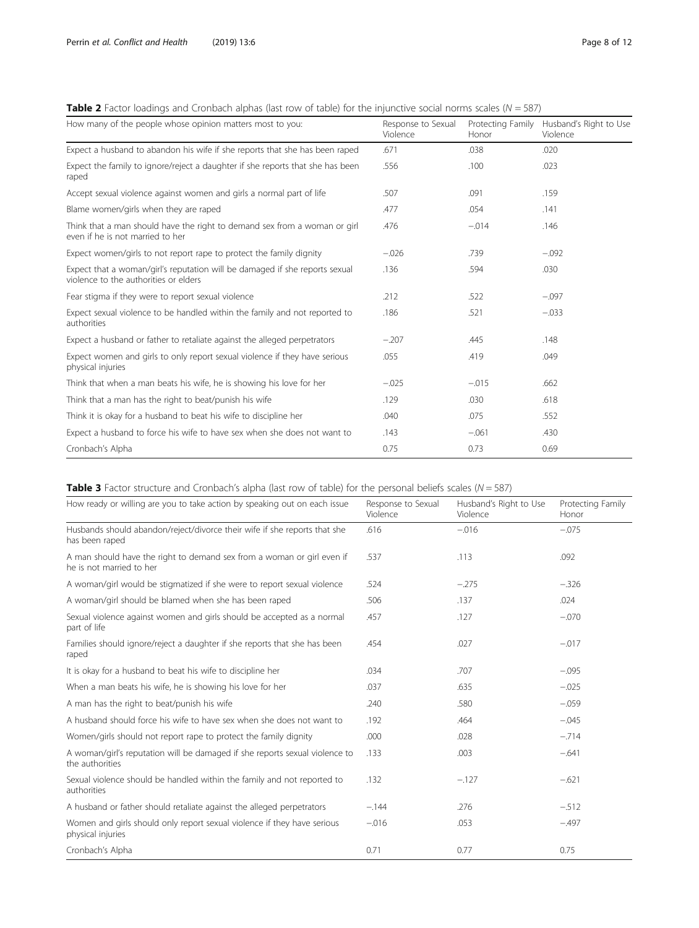## <span id="page-7-0"></span>**Table 2** Factor loadings and Cronbach alphas (last row of table) for the injunctive social norms scales ( $N = 587$ )

| How many of the people whose opinion matters most to you:                                                            | Response to Sexual<br>Violence | Protecting Family<br>Honor | Husband's Right to Use<br>Violence |
|----------------------------------------------------------------------------------------------------------------------|--------------------------------|----------------------------|------------------------------------|
| Expect a husband to abandon his wife if she reports that she has been raped                                          | .671                           | .038                       | .020                               |
| Expect the family to ignore/reject a daughter if she reports that she has been<br>raped                              | .556                           | .100                       | .023                               |
| Accept sexual violence against women and girls a normal part of life                                                 | .507                           | .091                       | .159                               |
| Blame women/girls when they are raped                                                                                | .477                           | .054                       | .141                               |
| Think that a man should have the right to demand sex from a woman or girl<br>even if he is not married to her        | .476                           | $-.014$                    | .146                               |
| Expect women/girls to not report rape to protect the family dignity                                                  | $-.026$                        | .739                       | $-.092$                            |
| Expect that a woman/girl's reputation will be damaged if she reports sexual<br>violence to the authorities or elders | .136                           | .594                       | .030                               |
| Fear stigma if they were to report sexual violence                                                                   | .212                           | .522                       | $-.097$                            |
| Expect sexual violence to be handled within the family and not reported to<br>authorities                            | .186                           | .521                       | $-.033$                            |
| Expect a husband or father to retaliate against the alleged perpetrators                                             | $-.207$                        | .445                       | .148                               |
| Expect women and girls to only report sexual violence if they have serious<br>physical injuries                      | .055                           | .419                       | .049                               |
| Think that when a man beats his wife, he is showing his love for her                                                 | $-.025$                        | $-.015$                    | .662                               |
| Think that a man has the right to beat/punish his wife                                                               | .129                           | .030                       | .618                               |
| Think it is okay for a husband to beat his wife to discipline her                                                    | .040                           | .075                       | .552                               |
| Expect a husband to force his wife to have sex when she does not want to                                             | .143                           | $-.061$                    | .430                               |
| Cronbach's Alpha                                                                                                     | 0.75                           | 0.73                       | 0.69                               |

## **Table 3** Factor structure and Cronbach's alpha (last row of table) for the personal beliefs scales ( $N = 587$ )

| How ready or willing are you to take action by speaking out on each issue                          | Response to Sexual<br>Violence | Husband's Right to Use<br>Violence | Protecting Family<br>Honor |
|----------------------------------------------------------------------------------------------------|--------------------------------|------------------------------------|----------------------------|
| Husbands should abandon/reject/divorce their wife if she reports that she<br>has been raped        | .616                           | $-.016$                            | $-.075$                    |
| A man should have the right to demand sex from a woman or girl even if<br>he is not married to her | .537                           | .113                               | .092                       |
| A woman/girl would be stigmatized if she were to report sexual violence                            | .524                           | $-.275$                            | $-.326$                    |
| A woman/girl should be blamed when she has been raped                                              | .506                           | .137                               | .024                       |
| Sexual violence against women and girls should be accepted as a normal<br>part of life             | .457                           | .127                               | $-.070$                    |
| Families should ignore/reject a daughter if she reports that she has been<br>raped                 | .454                           | .027                               | $-.017$                    |
| It is okay for a husband to beat his wife to discipline her                                        | .034                           | .707                               | $-.095$                    |
| When a man beats his wife, he is showing his love for her                                          | .037                           | .635                               | $-.025$                    |
| A man has the right to beat/punish his wife                                                        | .240                           | .580                               | $-.059$                    |
| A husband should force his wife to have sex when she does not want to                              | .192                           | .464                               | $-.045$                    |
| Women/girls should not report rape to protect the family dignity                                   | .000                           | .028                               | $-.714$                    |
| A woman/girl's reputation will be damaged if she reports sexual violence to<br>the authorities     | .133                           | .003                               | $-.641$                    |
| Sexual violence should be handled within the family and not reported to<br>authorities             | .132                           | $-.127$                            | $-.621$                    |
| A husband or father should retaliate against the alleged perpetrators                              | $-.144$                        | .276                               | $-.512$                    |
| Women and girls should only report sexual violence if they have serious<br>physical injuries       | $-.016$                        | .053                               | $-.497$                    |
| Cronbach's Alpha                                                                                   | 0.71                           | 0.77                               | 0.75                       |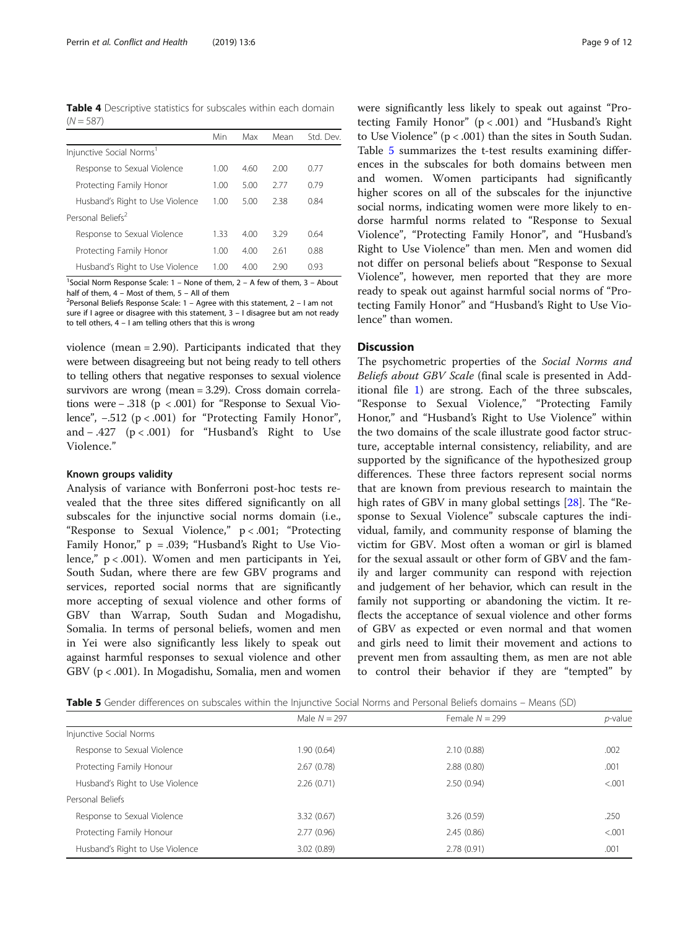<span id="page-8-0"></span>Table 4 Descriptive statistics for subscales within each domain  $(N = 587)$ 

|                                      | Min  | Max  | Mean  | Std Dev |
|--------------------------------------|------|------|-------|---------|
| Injunctive Social Norms <sup>1</sup> |      |      |       |         |
| Response to Sexual Violence          | 1.00 | 460  | 2.00  | 0.77    |
| Protecting Family Honor              | 1.00 | 5.00 | 2 7 7 | በ 79    |
| Husband's Right to Use Violence      | 1.00 | 5.00 | 238   | 0.84    |
| Personal Beliefs <sup>2</sup>        |      |      |       |         |
| Response to Sexual Violence          | 133  | 400  | 329   | 0.64    |
| Protecting Family Honor              | 1.00 | 4.00 | 261   | 0.88    |
| Husband's Right to Use Violence      | 1.00 | 4.00 | 290   | 0.93    |

<sup>1</sup>Social Norm Response Scale: 1 - None of them, 2 - A few of them, 3 - About half of them,  $4 -$  Most of them,  $5 -$  All of them

<sup>2</sup> Personal Beliefs Response Scale:  $1$  – Agree with this statement,  $2$  – I am not sure if I agree or disagree with this statement, 3 – I disagree but am not ready to tell others, 4 – I am telling others that this is wrong

violence (mean = 2.90). Participants indicated that they were between disagreeing but not being ready to tell others to telling others that negative responses to sexual violence survivors are wrong (mean = 3.29). Cross domain correlations were − .318 (p < .001) for "Response to Sexual Violence", −.512 (p < .001) for "Protecting Family Honor", and − .427 (p < .001) for "Husband's Right to Use Violence."

## Known groups validity

Analysis of variance with Bonferroni post-hoc tests revealed that the three sites differed significantly on all subscales for the injunctive social norms domain (i.e., "Response to Sexual Violence,"  $p < .001$ ; "Protecting Family Honor," p = .039; "Husband's Right to Use Violence," p < .001). Women and men participants in Yei, South Sudan, where there are few GBV programs and services, reported social norms that are significantly more accepting of sexual violence and other forms of GBV than Warrap, South Sudan and Mogadishu, Somalia. In terms of personal beliefs, women and men in Yei were also significantly less likely to speak out against harmful responses to sexual violence and other GBV (p < .001). In Mogadishu, Somalia, men and women

were significantly less likely to speak out against "Protecting Family Honor" (p < .001) and "Husband's Right to Use Violence"  $(p < .001)$  than the sites in South Sudan. Table 5 summarizes the t-test results examining differences in the subscales for both domains between men and women. Women participants had significantly higher scores on all of the subscales for the injunctive social norms, indicating women were more likely to endorse harmful norms related to "Response to Sexual Violence", "Protecting Family Honor", and "Husband's Right to Use Violence" than men. Men and women did not differ on personal beliefs about "Response to Sexual Violence", however, men reported that they are more ready to speak out against harmful social norms of "Protecting Family Honor" and "Husband's Right to Use Violence" than women.

## **Discussion**

The psychometric properties of the Social Norms and Beliefs about GBV Scale (final scale is presented in Additional file [1\)](#page-10-0) are strong. Each of the three subscales, "Response to Sexual Violence," "Protecting Family Honor," and "Husband's Right to Use Violence" within the two domains of the scale illustrate good factor structure, acceptable internal consistency, reliability, and are supported by the significance of the hypothesized group differences. These three factors represent social norms that are known from previous research to maintain the high rates of GBV in many global settings [[28](#page-11-0)]. The "Response to Sexual Violence" subscale captures the individual, family, and community response of blaming the victim for GBV. Most often a woman or girl is blamed for the sexual assault or other form of GBV and the family and larger community can respond with rejection and judgement of her behavior, which can result in the family not supporting or abandoning the victim. It reflects the acceptance of sexual violence and other forms of GBV as expected or even normal and that women and girls need to limit their movement and actions to prevent men from assaulting them, as men are not able to control their behavior if they are "tempted" by

| Table 5 Gender differences on subscales within the Injunctive Social Norms and Personal Beliefs domains - Means (SD) |  |  |
|----------------------------------------------------------------------------------------------------------------------|--|--|
|----------------------------------------------------------------------------------------------------------------------|--|--|

|                                 | Male $N = 297$ | Female $N = 299$ | p-value |
|---------------------------------|----------------|------------------|---------|
| Injunctive Social Norms         |                |                  |         |
| Response to Sexual Violence     | 1.90(0.64)     | 2.10(0.88)       | .002    |
| Protecting Family Honour        | 2.67(0.78)     | 2.88(0.80)       | .001    |
| Husband's Right to Use Violence | 2.26(0.71)     | 2.50(0.94)       | < 0.001 |
| Personal Beliefs                |                |                  |         |
| Response to Sexual Violence     | 3.32(0.67)     | 3.26(0.59)       | .250    |
| Protecting Family Honour        | 2.77(0.96)     | 2.45(0.86)       | < 0.001 |
| Husband's Right to Use Violence | 3.02(0.89)     | 2.78(0.91)       | .001    |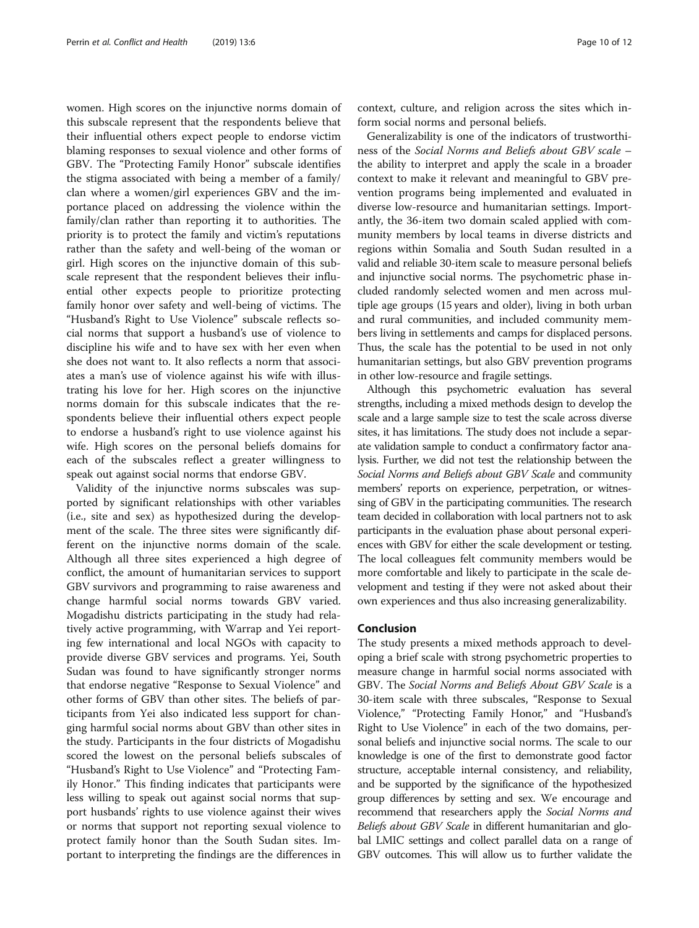women. High scores on the injunctive norms domain of this subscale represent that the respondents believe that their influential others expect people to endorse victim blaming responses to sexual violence and other forms of GBV. The "Protecting Family Honor" subscale identifies the stigma associated with being a member of a family/ clan where a women/girl experiences GBV and the importance placed on addressing the violence within the family/clan rather than reporting it to authorities. The priority is to protect the family and victim's reputations rather than the safety and well-being of the woman or girl. High scores on the injunctive domain of this subscale represent that the respondent believes their influential other expects people to prioritize protecting family honor over safety and well-being of victims. The "Husband's Right to Use Violence" subscale reflects social norms that support a husband's use of violence to discipline his wife and to have sex with her even when she does not want to. It also reflects a norm that associates a man's use of violence against his wife with illustrating his love for her. High scores on the injunctive norms domain for this subscale indicates that the respondents believe their influential others expect people to endorse a husband's right to use violence against his wife. High scores on the personal beliefs domains for each of the subscales reflect a greater willingness to speak out against social norms that endorse GBV.

Validity of the injunctive norms subscales was supported by significant relationships with other variables (i.e., site and sex) as hypothesized during the development of the scale. The three sites were significantly different on the injunctive norms domain of the scale. Although all three sites experienced a high degree of conflict, the amount of humanitarian services to support GBV survivors and programming to raise awareness and change harmful social norms towards GBV varied. Mogadishu districts participating in the study had relatively active programming, with Warrap and Yei reporting few international and local NGOs with capacity to provide diverse GBV services and programs. Yei, South Sudan was found to have significantly stronger norms that endorse negative "Response to Sexual Violence" and other forms of GBV than other sites. The beliefs of participants from Yei also indicated less support for changing harmful social norms about GBV than other sites in the study. Participants in the four districts of Mogadishu scored the lowest on the personal beliefs subscales of "Husband's Right to Use Violence" and "Protecting Family Honor." This finding indicates that participants were less willing to speak out against social norms that support husbands' rights to use violence against their wives or norms that support not reporting sexual violence to protect family honor than the South Sudan sites. Important to interpreting the findings are the differences in

context, culture, and religion across the sites which inform social norms and personal beliefs.

Generalizability is one of the indicators of trustworthiness of the Social Norms and Beliefs about GBV scale – the ability to interpret and apply the scale in a broader context to make it relevant and meaningful to GBV prevention programs being implemented and evaluated in diverse low-resource and humanitarian settings. Importantly, the 36-item two domain scaled applied with community members by local teams in diverse districts and regions within Somalia and South Sudan resulted in a valid and reliable 30-item scale to measure personal beliefs and injunctive social norms. The psychometric phase included randomly selected women and men across multiple age groups (15 years and older), living in both urban and rural communities, and included community members living in settlements and camps for displaced persons. Thus, the scale has the potential to be used in not only humanitarian settings, but also GBV prevention programs in other low-resource and fragile settings.

Although this psychometric evaluation has several strengths, including a mixed methods design to develop the scale and a large sample size to test the scale across diverse sites, it has limitations. The study does not include a separate validation sample to conduct a confirmatory factor analysis. Further, we did not test the relationship between the Social Norms and Beliefs about GBV Scale and community members' reports on experience, perpetration, or witnessing of GBV in the participating communities. The research team decided in collaboration with local partners not to ask participants in the evaluation phase about personal experiences with GBV for either the scale development or testing. The local colleagues felt community members would be more comfortable and likely to participate in the scale development and testing if they were not asked about their own experiences and thus also increasing generalizability.

## Conclusion

The study presents a mixed methods approach to developing a brief scale with strong psychometric properties to measure change in harmful social norms associated with GBV. The Social Norms and Beliefs About GBV Scale is a 30-item scale with three subscales, "Response to Sexual Violence," "Protecting Family Honor," and "Husband's Right to Use Violence" in each of the two domains, personal beliefs and injunctive social norms. The scale to our knowledge is one of the first to demonstrate good factor structure, acceptable internal consistency, and reliability, and be supported by the significance of the hypothesized group differences by setting and sex. We encourage and recommend that researchers apply the Social Norms and Beliefs about GBV Scale in different humanitarian and global LMIC settings and collect parallel data on a range of GBV outcomes. This will allow us to further validate the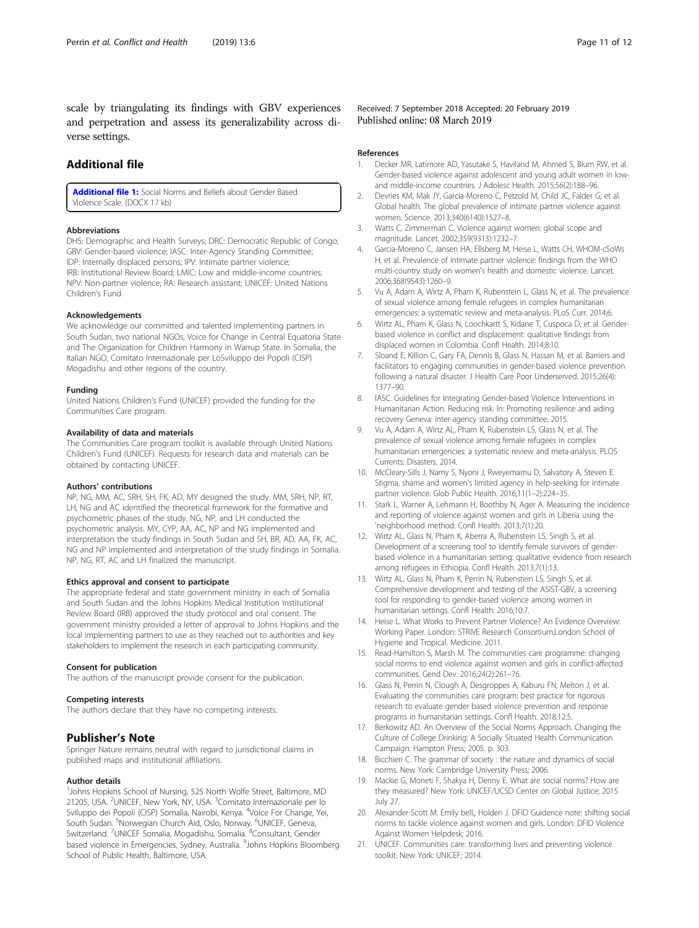## <span id="page-10-0"></span>Additional file

[Additional file 1:](https://doi.org/10.1186/s13031-019-0189-x) Social Norms and Beliefs about Gender Based Violence Scale. (DOCX 17 kb)

## **Abbreviations**

DHS: Demographic and Health Surveys; DRC: Democratic Republic of Congo; GBV: Gender-based violence; IASC: Inter-Agency Standing Committee; IDP: Internally displaced persons; IPV: Intimate partner violence; IRB: Institutional Review Board; LMIC: Low and middle-income countries; NPV: Non-partner violence; RA: Research assistant; UNICEF: United Nations Children's Fund

#### Acknowledgements

We acknowledge our committed and talented implementing partners in South Sudan, two national NGOs, Voice for Change in Central Equatoria State and The Organization for Children Harmony in Warrup State. In Somalia, the Italian NGO, Comitato Internazionale per LoSviluppo dei Popoli (CISP) Mogadishu and other regions of the country.

#### Funding

United Nations Children's Fund (UNICEF) provided the funding for the Communities Care program.

## Availability of data and materials

The Communities Care program toolkit is available through United Nations Children's Fund (UNICEF). Requests for research data and materials can be obtained by contacting UNICEF.

## Authors' contributions

NP, NG, MM, AC, SRH, SH, FK, AD, MY designed the study. MM, SRH, NP, RT, LH, NG and AC identified the theoretical framework for the formative and psychometric phases of the study. NG, NP, and LH conducted the psychometric analysis. MY, CYP, AA, AC, NP and NG implemented and interpretation the study findings in South Sudan and SH, BR, AD, AA, FK, AC, NG and NP implemented and interpretation of the study findings in Somalia. NP, NG, RT, AC and LH finalized the manuscript.

#### Ethics approval and consent to participate

The appropriate federal and state government ministry in each of Somalia and South Sudan and the Johns Hopkins Medical Institution Institutional Review Board (IRB) approved the study protocol and oral consent. The government ministry provided a letter of approval to Johns Hopkins and the local implementing partners to use as they reached out to authorities and key stakeholders to implement the research in each participating community.

#### Consent for publication

The authors of the manuscript provide consent for the publication.

#### Competing interests

The authors declare that they have no competing interests.

## Publisher's Note

Springer Nature remains neutral with regard to jurisdictional claims in published maps and institutional affiliations.

#### Author details

<sup>1</sup> Johns Hopkins School of Nursing, 525 North Wolfe Street, Baltimore, MD 21205, USA. <sup>2</sup>UNICEF, New York, NY, USA. <sup>3</sup>Comitato Internazionale per lo Sviluppo dei Popoli (CISP) Somalia, Nairobi, Kenya. <sup>4</sup>Voice For Change, Yei, South Sudan. <sup>5</sup>Norwegian Church Aid, Oslo, Norway. <sup>6</sup>UNICEF, Geneva,<br>Switzerland. <sup>7</sup>UNICEF Somalia, Mogadishu, Somalia. <sup>8</sup>Consultant, Gender based violence in Emergencies, Sydney, Australia. <sup>9</sup>Johns Hopkins Bloomberg School of Public Health, Baltimore, USA.

Received: 7 September 2018 Accepted: 20 February 2019 Published online: 08 March 2019

#### References

- 1. Decker MR, Latimore AD, Yasutake S, Haviland M, Ahmed S, Blum RW, et al. Gender-based violence against adolescent and young adult women in lowand middle-income countries. J Adolesc Health. 2015;56(2):188–96.
- 2. Devries KM, Mak JY, Garcia-Moreno C, Petzold M, Child JC, Falder G, et al. Global health. The global prevalence of intimate partner violence against women. Science. 2013;340(6140):1527–8.
- Watts C, Zimmerman C. Violence against women: global scope and magnitude. Lancet. 2002;359(9313):1232–7.
- 4. Garcia-Moreno C, Jansen HA, Ellsberg M, Heise L, Watts CH, WHOM-cSoWs H, et al. Prevalence of intimate partner violence: findings from the WHO multi-country study on women's health and domestic violence. Lancet. 2006;368(9543):1260–9.
- 5. Vu A, Adam A, Wirtz A, Pham K, Rubenstein L, Glass N, et al. The prevalence of sexual violence among female refugees in complex humanitarian emergencies: a systematic review and meta-analysis. PLoS Curr. 2014;6.
- 6. Wirtz AL, Pham K, Glass N, Loochkartt S, Kidane T, Cuspoca D, et al. Genderbased violence in conflict and displacement: qualitative findings from displaced women in Colombia. Confl Health. 2014;8:10.
- 7. Sloand E, Killion C, Gary FA, Dennis B, Glass N, Hassan M, et al. Barriers and facilitators to engaging communities in gender-based violence prevention following a natural disaster. J Health Care Poor Underserved. 2015;26(4): 1377–90.
- 8. IASC. Guidelines for Integrating Gender-based Violence Interventions in Humanitarian Action. Reducing risk. In: Promoting resilience and aiding recovery Geneva: inter-agency standing committee; 2015.
- Vu A, Adam A, Wirtz AL, Pham K, Rubenstein LS, Glass N, et al. The prevalence of sexual violence among female refugees in complex humanitarian emergencies: a systematic review and meta-analysis. PLOS Currents: Disasters. 2014.
- 10. McCleary-Sills J, Namy S, Nyoni J, Rweyemamu D, Salvatory A, Steven E. Stigma, shame and women's limited agency in help-seeking for intimate partner violence. Glob Public Health. 2016;11(1–2):224–35.
- 11. Stark L, Warner A, Lehmann H, Boothby N, Ager A. Measuring the incidence and reporting of violence against women and girls in Liberia using the 'neighborhood method. Confl Health. 2013;7(1):20.
- 12. Wirtz AL, Glass N, Pham K, Aberra A, Rubenstein LS, Singh S, et al. Development of a screening tool to identify female survivors of genderbased violence in a humanitarian setting: qualitative evidence from research among refugees in Ethiopia. Confl Health. 2013;7(1):13.
- 13. Wirtz AL, Glass N, Pham K, Perrin N, Rubenstein LS, Singh S, et al. Comprehensive development and testing of the ASIST-GBV, a screening tool for responding to gender-based violence among women in humanitarian settings. Confl Health. 2016;10:7.
- 14. Heise L. What Works to Prevent Partner Violence? An Evidence Overview: Working Paper. London: STRIVE Research Consortium,London School of Hygiene and Tropical. Medicine. 2011.
- 15. Read-Hamilton S, Marsh M. The communities care programme: changing social norms to end violence against women and girls in conflict-affected communities. Gend Dev. 2016;24(2):261–76.
- 16. Glass N, Perrin N, Clough A, Desgroppes A, Kaburu FN, Melton J, et al. Evaluating the communities care program: best practice for rigorous research to evaluate gender based violence prevention and response programs in humanitarian settings. Confl Health. 2018;12:5.
- 17. Berkowitz AD. An Overview of the Social Norms Approach. Changing the Culture of College Drinking: A Socially Situated Health Communication Campaign: Hampton Press; 2005. p. 303.
- 18. Bicchieri C. The grammar of society : the nature and dynamics of social norms. New York: Cambridge University Press; 2006.
- 19. Mackie G, Moneti F, Shakya H, Denny E. What are social norms? How are they measured? New York: UNICEF/UCSD Center on Global Justice; 2015 July 27.
- 20. Alexander-Scott M. Emily bell,, Holden J. DFID Guidence note: shifting social norms to tackle violence against women and girls. London: DFID Violence Against Women Helpdesk; 2016.
- 21. UNICEF. Communities care: transforming lives and preventing violence toolkit. New York: UNICEF; 2014.